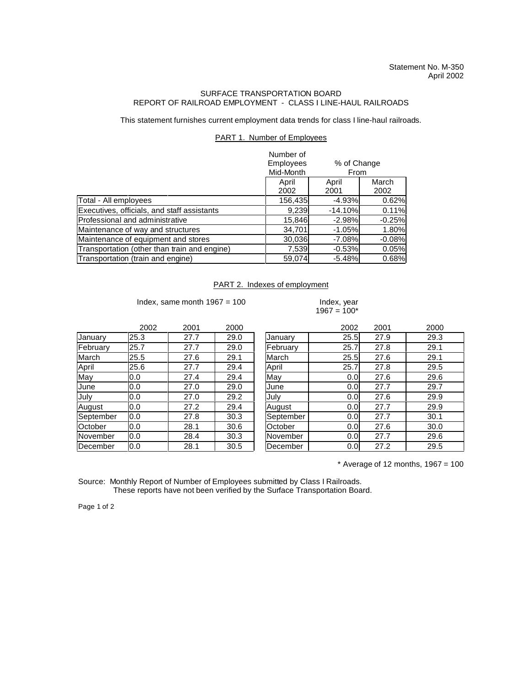## SURFACE TRANSPORTATION BOARD REPORT OF RAILROAD EMPLOYMENT - CLASS I LINE-HAUL RAILROADS

This statement furnishes current employment data trends for class I line-haul railroads.

## PART 1. Number of Employees

|                                              | Number of<br>Employees<br>% of Change<br>Mid-Month<br>From |               |               |
|----------------------------------------------|------------------------------------------------------------|---------------|---------------|
|                                              | April<br>2002                                              | April<br>2001 | March<br>2002 |
| Total - All employees                        | 156,435                                                    | $-4.93%$      | 0.62%         |
| Executives, officials, and staff assistants  | 9,239                                                      | $-14.10%$     | 0.11%         |
| Professional and administrative              | 15,846                                                     | $-2.98%$      | $-0.25%$      |
| Maintenance of way and structures            | 34,701                                                     | $-1.05%$      | 1.80%         |
| Maintenance of equipment and stores          | 30,036                                                     | $-7.08%$      | $-0.08%$      |
| Transportation (other than train and engine) | 7,539                                                      | $-0.53%$      | 0.05%         |
| Transportation (train and engine)            | 59,074                                                     | $-5.48%$      | 0.68%         |

## PART 2. Indexes of employment

Index, same month  $1967 = 100$  Index, year

## $1967 = 100*$

|           | 2002 | 2001 | 2000 |           | 2002 | 2001 | 2000 |
|-----------|------|------|------|-----------|------|------|------|
| January   | 25.3 | 27.7 | 29.0 | January   | 25.5 | 27.9 | 29.3 |
| February  | 25.7 | 27.7 | 29.0 | February  | 25.7 | 27.8 | 29.1 |
| March     | 25.5 | 27.6 | 29.1 | March     | 25.5 | 27.6 | 29.1 |
| April     | 25.6 | 27.7 | 29.4 | April     | 25.7 | 27.8 | 29.5 |
| May       | 0.0  | 27.4 | 29.4 | May       | 0.0  | 27.6 | 29.6 |
| June      | 0.0  | 27.0 | 29.0 | June      | 0.0  | 27.7 | 29.7 |
| July      | 0.0  | 27.0 | 29.2 | July      | 0.0  | 27.6 | 29.9 |
| August    | 0.0  | 27.2 | 29.4 | August    | 0.0  | 27.7 | 29.9 |
| September | 0.0  | 27.8 | 30.3 | September | 0.0  | 27.7 | 30.1 |
| October   | 0.0  | 28.1 | 30.6 | October   | 0.0  | 27.6 | 30.0 |
| November  | 0.0  | 28.4 | 30.3 | November  | 0.0  | 27.7 | 29.6 |
| December  | 0.0  | 28.1 | 30.5 | December  | 0.0  | 27.2 | 29.5 |

 $*$  Average of 12 months, 1967 = 100

Source: Monthly Report of Number of Employees submitted by Class I Railroads. These reports have not been verified by the Surface Transportation Board.

Page 1 of 2